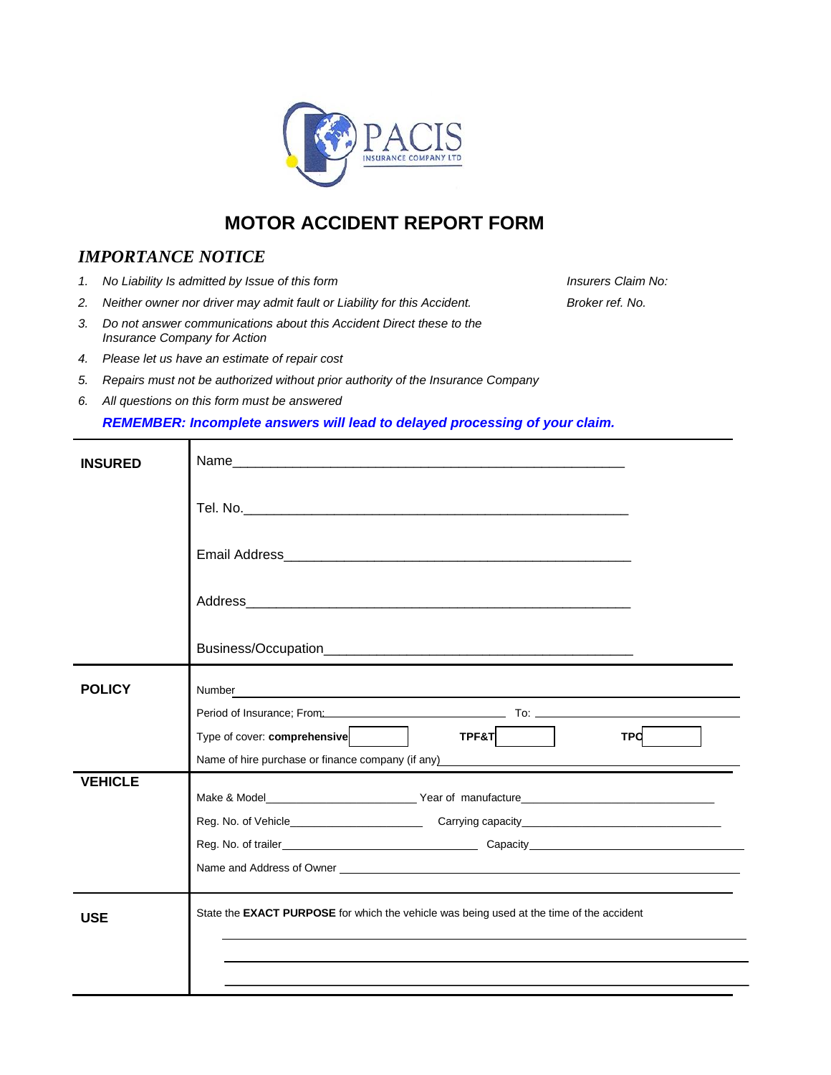

# **MOTOR ACCIDENT REPORT FORM**

### *IMPORTANCE NOTICE*

- *1. No Liability Is admitted by Issue of this form Insurers Claim No:*
- *2. Neither owner nor driver may admit fault or Liability for this Accident. Broker ref. No.*
- *3. Do not answer communications about this Accident Direct these to the Insurance Company for Action*
- *4. Please let us have an estimate of repair cost*
- *5. Repairs must not be authorized without prior authority of the Insurance Company*
- *6. All questions on this form must be answered*

#### *REMEMBER: Incomplete answers will lead to delayed processing of your claim.*

| <b>INSURED</b> |                                                                                                                                                                                                                                |
|----------------|--------------------------------------------------------------------------------------------------------------------------------------------------------------------------------------------------------------------------------|
|                |                                                                                                                                                                                                                                |
|                |                                                                                                                                                                                                                                |
|                |                                                                                                                                                                                                                                |
|                |                                                                                                                                                                                                                                |
| <b>POLICY</b>  | Number<br><u> 1989 - Johann Stoff, deutscher Stoff, der Stoff, der Stoff, der Stoff, der Stoff, der Stoff, der Stoff, der S</u>                                                                                                |
|                | Period of Insurance; From: Cambridge Contract Contract Contract Contract Contract Contract Contract Contract Contract Contract Contract Contract Contract Contract Contract Contract Contract Contract Contract Contract Contr |
|                | Type of cover: comprehensive<br>TPF&T<br>TPO                                                                                                                                                                                   |
|                | Name of hire purchase or finance company (if any) Name of hire purchase or finance company (if any)                                                                                                                            |
| <b>VEHICLE</b> |                                                                                                                                                                                                                                |
|                |                                                                                                                                                                                                                                |
|                |                                                                                                                                                                                                                                |
|                |                                                                                                                                                                                                                                |
|                | Name and Address of Owner experience and the state of the state of the state of the state of the state of the state of the state of the state of the state of the state of the state of the state of the state of the state of |
|                |                                                                                                                                                                                                                                |
| <b>USE</b>     | State the <b>EXACT PURPOSE</b> for which the vehicle was being used at the time of the accident                                                                                                                                |
|                |                                                                                                                                                                                                                                |
|                |                                                                                                                                                                                                                                |
|                |                                                                                                                                                                                                                                |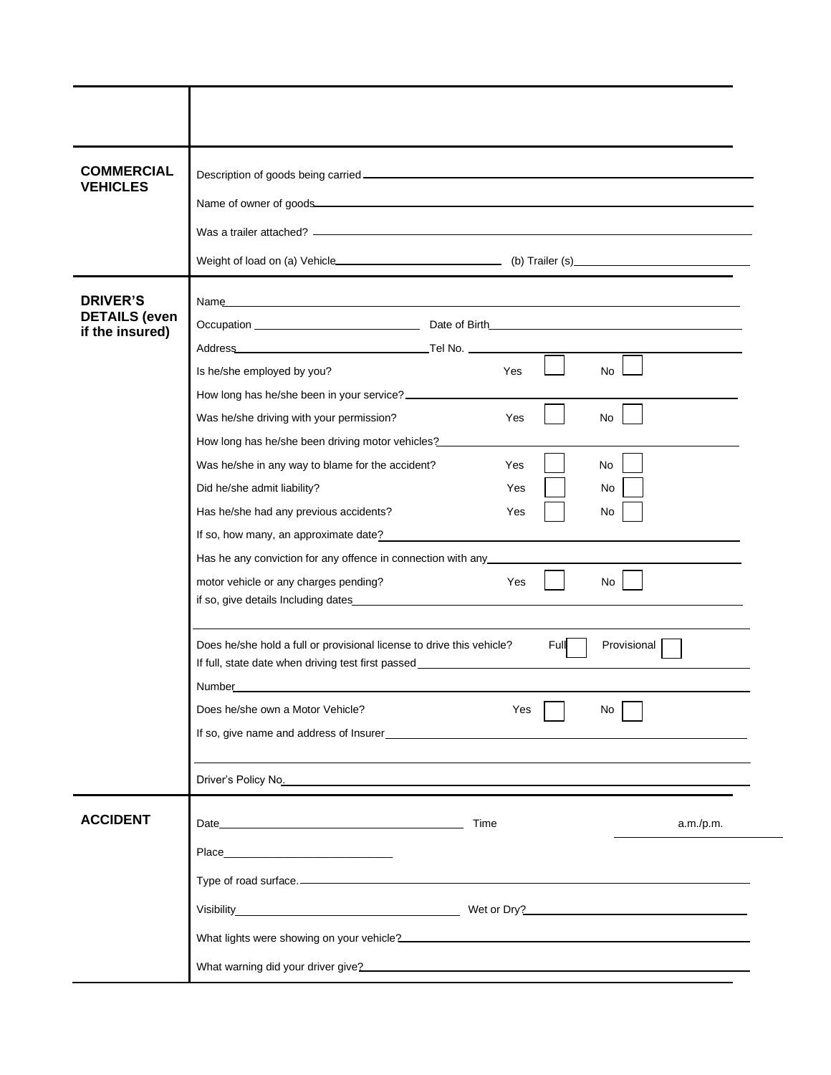| <b>COMMERCIAL</b><br><b>VEHICLES</b>    |                                                                                                                                                                                                                                                                                                |
|-----------------------------------------|------------------------------------------------------------------------------------------------------------------------------------------------------------------------------------------------------------------------------------------------------------------------------------------------|
|                                         |                                                                                                                                                                                                                                                                                                |
|                                         |                                                                                                                                                                                                                                                                                                |
|                                         |                                                                                                                                                                                                                                                                                                |
| <b>DRIVER'S</b>                         | Name and the contract of the contract of the contract of the contract of the contract of the contract of the contract of the contract of the contract of the contract of the contract of the contract of the contract of the c                                                                 |
| <b>DETAILS</b> (even<br>if the insured) |                                                                                                                                                                                                                                                                                                |
|                                         |                                                                                                                                                                                                                                                                                                |
|                                         | Is he/she employed by you?<br><b>Yes</b><br>No.                                                                                                                                                                                                                                                |
|                                         | How long has he/she been in your service? _______________                                                                                                                                                                                                                                      |
|                                         | Was he/she driving with your permission?<br>Yes<br>No                                                                                                                                                                                                                                          |
|                                         | How long has he/she been driving motor vehicles?                                                                                                                                                                                                                                               |
|                                         | Was he/she in any way to blame for the accident?<br>No<br>Yes                                                                                                                                                                                                                                  |
|                                         | Did he/she admit liability?<br>Yes<br>No                                                                                                                                                                                                                                                       |
|                                         | Has he/she had any previous accidents?<br>Yes<br>No                                                                                                                                                                                                                                            |
|                                         | If so, how many, an approximate date? example and the set of the set of the set of the set of the set of the set of the set of the set of the set of the set of the set of the set of the set of the set of the set of the set<br>Has he any conviction for any offence in connection with any |
|                                         | motor vehicle or any charges pending?<br>Yes<br>No                                                                                                                                                                                                                                             |
|                                         |                                                                                                                                                                                                                                                                                                |
|                                         | Does he/she hold a full or provisional license to drive this vehicle?<br>Full<br>Provisional<br>If full, state date when driving test first passed _____________________________<br>Number                                                                                                     |
|                                         | Does he/she own a Motor Vehicle?<br>Yes<br>No.                                                                                                                                                                                                                                                 |
|                                         | If so, give name and address of Insurer<br><u>Example 2001</u>                                                                                                                                                                                                                                 |
|                                         |                                                                                                                                                                                                                                                                                                |
|                                         |                                                                                                                                                                                                                                                                                                |
| <b>ACCIDENT</b>                         | Date and the contract of the contract of the contract of the contract of the contract of the contract of the contract of the contract of the contract of the contract of the contract of the contract of the contract of the c<br>Time<br>a.m./p.m.                                            |
|                                         | Place Place                                                                                                                                                                                                                                                                                    |
|                                         | Type of road surface.                                                                                                                                                                                                                                                                          |
|                                         |                                                                                                                                                                                                                                                                                                |
|                                         |                                                                                                                                                                                                                                                                                                |
|                                         | What lights were showing on your vehicle?<br>What lights were showing on your vehicle?                                                                                                                                                                                                         |
|                                         |                                                                                                                                                                                                                                                                                                |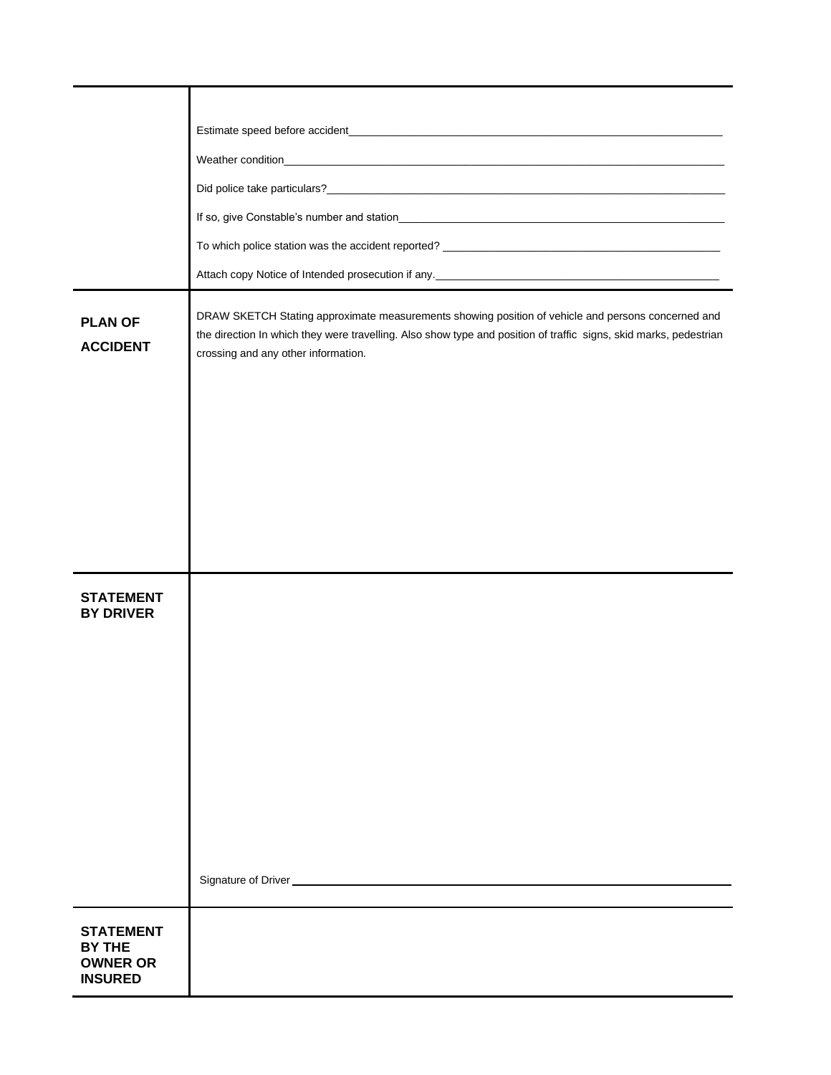| <b>PLAN OF</b><br><b>ACCIDENT</b>                                      | DRAW SKETCH Stating approximate measurements showing position of vehicle and persons concerned and<br>the direction In which they were travelling. Also show type and position of traffic signs, skid marks, pedestrian<br>crossing and any other information. |
|------------------------------------------------------------------------|----------------------------------------------------------------------------------------------------------------------------------------------------------------------------------------------------------------------------------------------------------------|
|                                                                        |                                                                                                                                                                                                                                                                |
|                                                                        |                                                                                                                                                                                                                                                                |
| <b>STATEMENT</b><br><b>BY DRIVER</b>                                   |                                                                                                                                                                                                                                                                |
|                                                                        |                                                                                                                                                                                                                                                                |
| <b>STATEMENT</b><br><b>BY THE</b><br><b>OWNER OR</b><br><b>INSURED</b> |                                                                                                                                                                                                                                                                |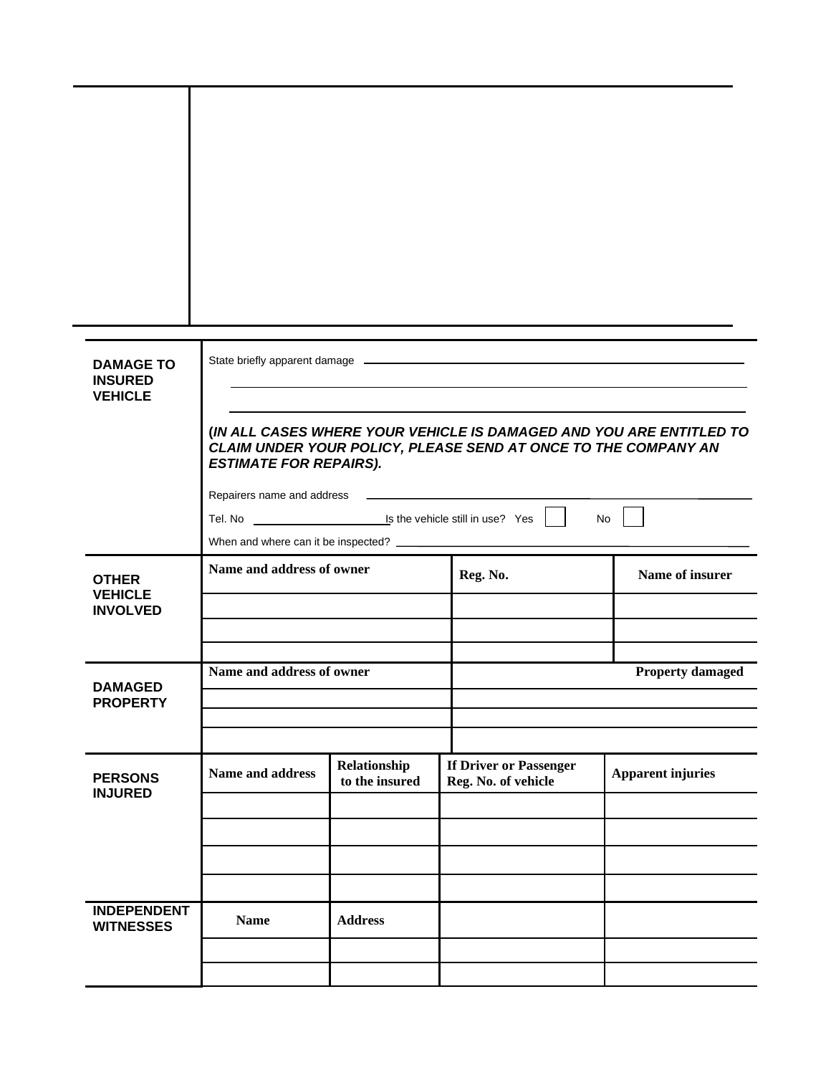| <b>DAMAGE TO</b>                       |                                                                                                                                                                        |                |                        |                          |
|----------------------------------------|------------------------------------------------------------------------------------------------------------------------------------------------------------------------|----------------|------------------------|--------------------------|
| <b>INSURED</b><br><b>VEHICLE</b>       |                                                                                                                                                                        |                |                        |                          |
|                                        | (IN ALL CASES WHERE YOUR VEHICLE IS DAMAGED AND YOU ARE ENTITLED TO<br>CLAIM UNDER YOUR POLICY, PLEASE SEND AT ONCE TO THE COMPANY AN<br><b>ESTIMATE FOR REPAIRS).</b> |                |                        |                          |
|                                        |                                                                                                                                                                        |                |                        |                          |
|                                        | Tel. No <u>example and is the vehicle</u> still in use? Yes    <br>No                                                                                                  |                |                        |                          |
|                                        |                                                                                                                                                                        |                |                        |                          |
| <b>OTHER</b><br><b>VEHICLE</b>         | Name and address of owner                                                                                                                                              |                | Reg. No.               | Name of insurer          |
| <b>INVOLVED</b>                        |                                                                                                                                                                        |                |                        |                          |
|                                        |                                                                                                                                                                        |                |                        |                          |
| <b>DAMAGED</b>                         | Name and address of owner                                                                                                                                              |                |                        | <b>Property damaged</b>  |
| <b>PROPERTY</b>                        |                                                                                                                                                                        |                |                        |                          |
|                                        |                                                                                                                                                                        | Relationship   | If Driver or Passenger |                          |
| <b>PERSONS</b><br><b>INJURED</b>       | Name and address                                                                                                                                                       | to the insured | Reg. No. of vehicle    | <b>Apparent injuries</b> |
|                                        |                                                                                                                                                                        |                |                        |                          |
|                                        |                                                                                                                                                                        |                |                        |                          |
|                                        |                                                                                                                                                                        |                |                        |                          |
|                                        |                                                                                                                                                                        |                |                        |                          |
| <b>INDEPENDENT</b><br><b>WITNESSES</b> | <b>Name</b>                                                                                                                                                            | <b>Address</b> |                        |                          |